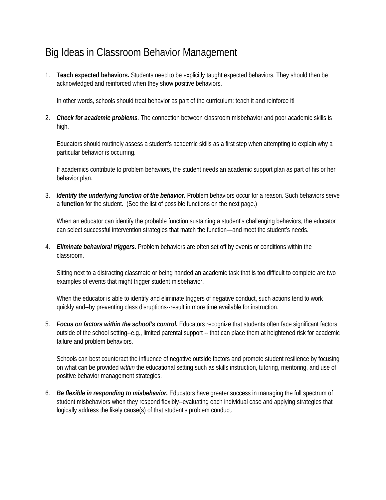## Big Ideas in Classroom Behavior Management

1. **Teach expected behaviors.** Students need to be explicitly taught expected behaviors. They should then be acknowledged and reinforced when they show positive behaviors.

In other words, schools should treat behavior as part of the curriculum: teach it and reinforce it!

2. *Check for academic problems.* The connection between classroom misbehavior and poor academic skills is high.

Educators should routinely assess a student's academic skills as a first step when attempting to explain why a particular behavior is occurring.

If academics contribute to problem behaviors, the student needs an academic support plan as part of his or her behavior plan.

3. *Identify the underlying function of the behavior.* Problem behaviors occur for a reason. Such behaviors serve a **function** for the student. (See the list of possible functions on the next page.)

When an educator can identify the probable function sustaining a student's challenging behaviors, the educator can select successful intervention strategies that match the function—and meet the student's needs.

4. *Eliminate behavioral triggers.* Problem behaviors are often set off by events or conditions within the classroom.

Sitting next to a distracting classmate or being handed an academic task that is too difficult to complete are two examples of events that might trigger student misbehavior.

When the educator is able to identify and eliminate triggers of negative conduct, such actions tend to work quickly and--by preventing class disruptions--result in more time available for instruction.

5. *Focus on factors within the school's control***.** Educators recognize that students often face significant factors outside of the school setting--e.g., limited parental support -- that can place them at heightened risk for academic failure and problem behaviors.

Schools can best counteract the influence of negative outside factors and promote student resilience by focusing on what can be provided *within* the educational setting such as skills instruction, tutoring, mentoring, and use of positive behavior management strategies.

6. *Be flexible in responding to misbehavior.* Educators have greater success in managing the full spectrum of student misbehaviors when they respond flexibly--evaluating each individual case and applying strategies that logically address the likely cause(s) of that student's problem conduct*.*